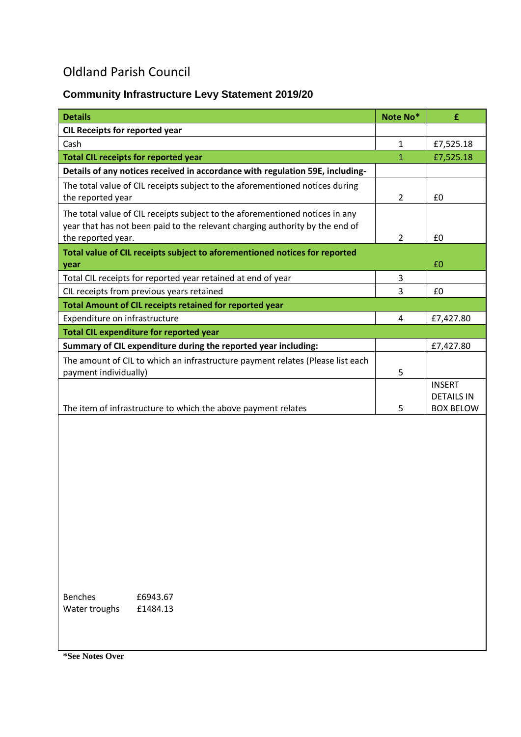## Oldland Parish Council

## **Community Infrastructure Levy Statement 2019/20**

| <b>Details</b>                                                                                          | Note No*       | £                 |
|---------------------------------------------------------------------------------------------------------|----------------|-------------------|
| <b>CIL Receipts for reported year</b>                                                                   |                |                   |
| Cash                                                                                                    | $\mathbf{1}$   | £7,525.18         |
| <b>Total CIL receipts for reported year</b>                                                             | 1              | £7,525.18         |
| Details of any notices received in accordance with regulation 59E, including-                           |                |                   |
| The total value of CIL receipts subject to the aforementioned notices during                            |                |                   |
| the reported year                                                                                       | $\overline{2}$ | £0                |
| The total value of CIL receipts subject to the aforementioned notices in any                            |                |                   |
| year that has not been paid to the relevant charging authority by the end of                            |                |                   |
| the reported year.                                                                                      | $\overline{2}$ | £0                |
| Total value of CIL receipts subject to aforementioned notices for reported                              |                |                   |
| year                                                                                                    |                | £0                |
| Total CIL receipts for reported year retained at end of year                                            | 3              |                   |
| CIL receipts from previous years retained                                                               | 3              | £0                |
| Total Amount of CIL receipts retained for reported year                                                 |                |                   |
| Expenditure on infrastructure                                                                           | 4              | £7,427.80         |
| <b>Total CIL expenditure for reported year</b>                                                          |                |                   |
| Summary of CIL expenditure during the reported year including:                                          |                | £7,427.80         |
| The amount of CIL to which an infrastructure payment relates (Please list each<br>payment individually) | 5              |                   |
|                                                                                                         |                | <b>INSERT</b>     |
|                                                                                                         |                | <b>DETAILS IN</b> |
| The item of infrastructure to which the above payment relates                                           | 5              | <b>BOX BELOW</b>  |
|                                                                                                         |                |                   |
|                                                                                                         |                |                   |
|                                                                                                         |                |                   |
|                                                                                                         |                |                   |
|                                                                                                         |                |                   |
|                                                                                                         |                |                   |
|                                                                                                         |                |                   |
|                                                                                                         |                |                   |
|                                                                                                         |                |                   |
|                                                                                                         |                |                   |
|                                                                                                         |                |                   |
|                                                                                                         |                |                   |
|                                                                                                         |                |                   |
| <b>Benches</b><br>£6943.67                                                                              |                |                   |
| Water troughs<br>£1484.13                                                                               |                |                   |
|                                                                                                         |                |                   |
|                                                                                                         |                |                   |

**\*See Notes Over**